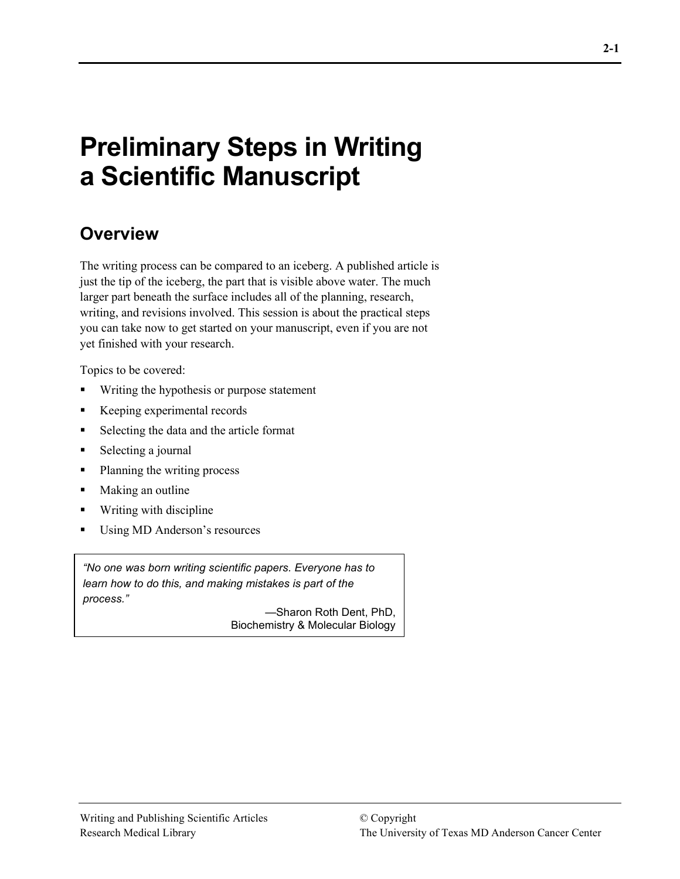# **Preliminary Steps in Writing a Scientific Manuscript**

## **Overview**

The writing process can be compared to an iceberg. A published article is just the tip of the iceberg, the part that is visible above water. The much larger part beneath the surface includes all of the planning, research, writing, and revisions involved. This session is about the practical steps you can take now to get started on your manuscript, even if you are not yet finished with your research.

Topics to be covered:

- Writing the hypothesis or purpose statement
- Keeping experimental records
- Selecting the data and the article format
- Selecting a journal
- Planning the writing process
- **Making an outline**
- Writing with discipline
- Using MD Anderson's resources

*"No one was born writing scientific papers. Everyone has to learn how to do this, and making mistakes is part of the process."* 

—Sharon Roth Dent, PhD, Biochemistry & Molecular Biology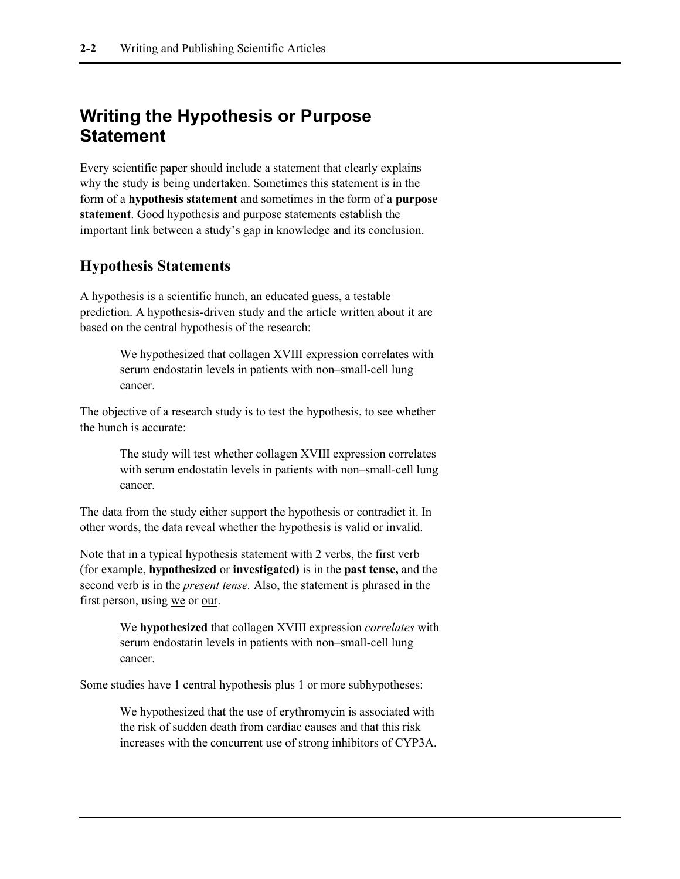## **Writing the Hypothesis or Purpose Statement**

Every scientific paper should include a statement that clearly explains why the study is being undertaken. Sometimes this statement is in the form of a **hypothesis statement** and sometimes in the form of a **purpose statement**. Good hypothesis and purpose statements establish the important link between a study's gap in knowledge and its conclusion.

### **Hypothesis Statements**

A hypothesis is a scientific hunch, an educated guess, a testable prediction. A hypothesis-driven study and the article written about it are based on the central hypothesis of the research:

> We hypothesized that collagen XVIII expression correlates with serum endostatin levels in patients with non–small-cell lung cancer.

The objective of a research study is to test the hypothesis, to see whether the hunch is accurate:

> The study will test whether collagen XVIII expression correlates with serum endostatin levels in patients with non–small-cell lung cancer.

The data from the study either support the hypothesis or contradict it. In other words, the data reveal whether the hypothesis is valid or invalid.

Note that in a typical hypothesis statement with 2 verbs, the first verb (for example, **hypothesized** or **investigated)** is in the **past tense,** and the second verb is in the *present tense.* Also, the statement is phrased in the first person, using we or our.

> We **hypothesized** that collagen XVIII expression *correlates* with serum endostatin levels in patients with non–small-cell lung cancer.

Some studies have 1 central hypothesis plus 1 or more subhypotheses:

We hypothesized that the use of erythromycin is associated with the risk of sudden death from cardiac causes and that this risk increases with the concurrent use of strong inhibitors of CYP3A.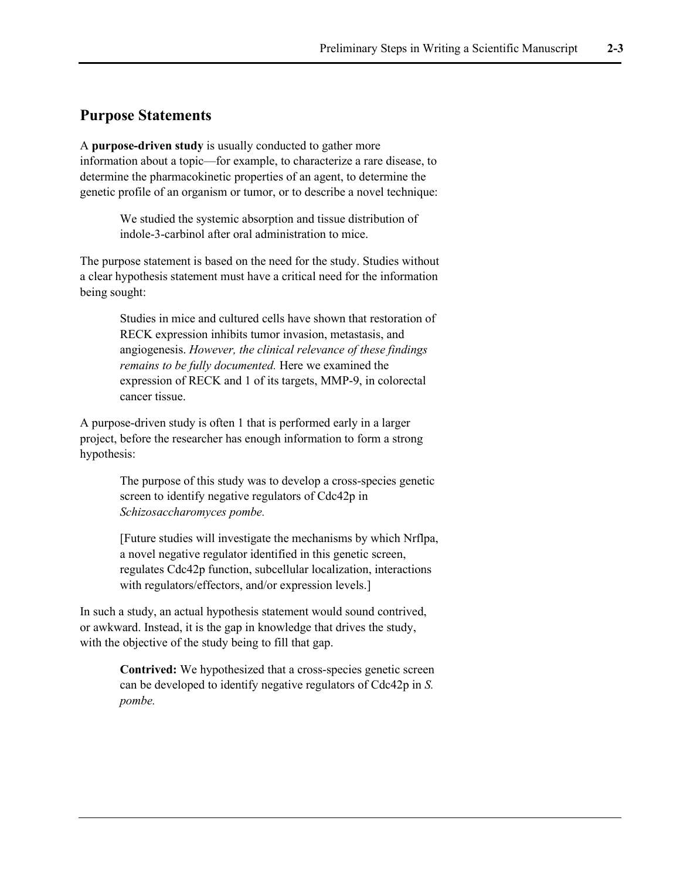#### **Purpose Statements**

A **purpose-driven study** is usually conducted to gather more information about a topic—for example, to characterize a rare disease, to determine the pharmacokinetic properties of an agent, to determine the genetic profile of an organism or tumor, or to describe a novel technique:

> We studied the systemic absorption and tissue distribution of indole-3-carbinol after oral administration to mice.

The purpose statement is based on the need for the study. Studies without a clear hypothesis statement must have a critical need for the information being sought:

> Studies in mice and cultured cells have shown that restoration of RECK expression inhibits tumor invasion, metastasis, and angiogenesis. *However, the clinical relevance of these findings remains to be fully documented.* Here we examined the expression of RECK and 1 of its targets, MMP-9, in colorectal cancer tissue.

A purpose-driven study is often 1 that is performed early in a larger project, before the researcher has enough information to form a strong hypothesis:

> The purpose of this study was to develop a cross-species genetic screen to identify negative regulators of Cdc42p in *Schizosaccharomyces pombe.*

[Future studies will investigate the mechanisms by which Nrflpa, a novel negative regulator identified in this genetic screen, regulates Cdc42p function, subcellular localization, interactions with regulators/effectors, and/or expression levels.]

In such a study, an actual hypothesis statement would sound contrived, or awkward. Instead, it is the gap in knowledge that drives the study, with the objective of the study being to fill that gap.

> **Contrived:** We hypothesized that a cross-species genetic screen can be developed to identify negative regulators of Cdc42p in *S. pombe.*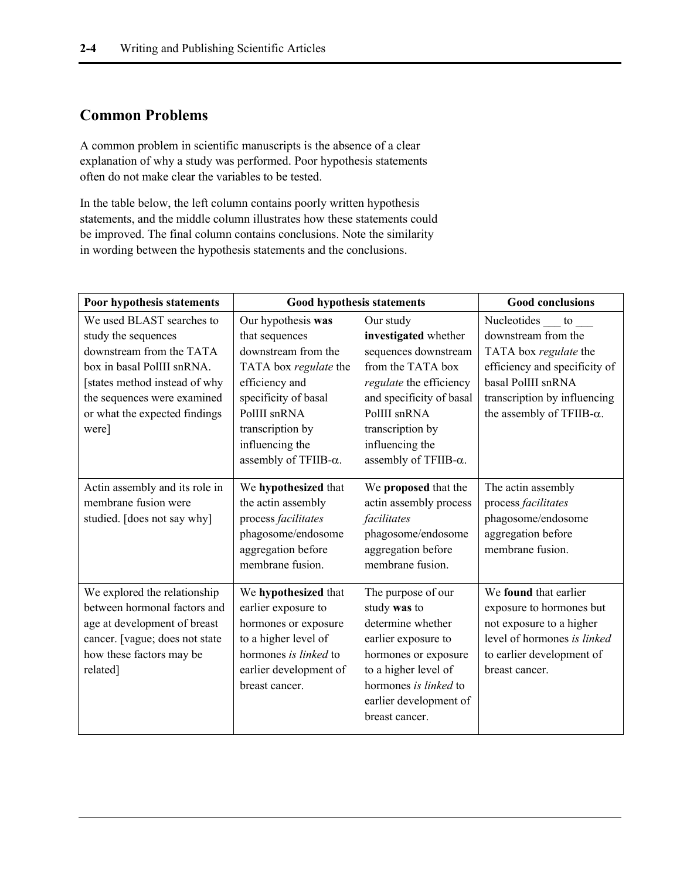### **Common Problems**

A common problem in scientific manuscripts is the absence of a clear explanation of why a study was performed. Poor hypothesis statements often do not make clear the variables to be tested.

In the table below, the left column contains poorly written hypothesis statements, and the middle column illustrates how these statements could be improved. The final column contains conclusions. Note the similarity in wording between the hypothesis statements and the conclusions.

| Poor hypothesis statements                                                                                                                                                                                           | <b>Good hypothesis statements</b>                                                                                                                                                                             | <b>Good conclusions</b>                                                                                                                                                                                                       |                                                                                                                                                                                                          |  |
|----------------------------------------------------------------------------------------------------------------------------------------------------------------------------------------------------------------------|---------------------------------------------------------------------------------------------------------------------------------------------------------------------------------------------------------------|-------------------------------------------------------------------------------------------------------------------------------------------------------------------------------------------------------------------------------|----------------------------------------------------------------------------------------------------------------------------------------------------------------------------------------------------------|--|
| We used BLAST searches to<br>study the sequences<br>downstream from the TATA<br>box in basal PolIII snRNA.<br>[states method instead of why<br>the sequences were examined<br>or what the expected findings<br>were] | Our hypothesis was<br>that sequences<br>downstream from the<br>TATA box regulate the<br>efficiency and<br>specificity of basal<br>PolIII snRNA<br>transcription by<br>influencing the<br>assembly of TFIIB-α. | Our study<br>investigated whether<br>sequences downstream<br>from the TATA box<br>regulate the efficiency<br>and specificity of basal<br>PolIII snRNA<br>transcription by<br>influencing the<br>assembly of TFIIB- $\alpha$ . | Nucleotides $\_\_$ to $\_\_$<br>downstream from the<br>TATA box regulate the<br>efficiency and specificity of<br>basal PolIII snRNA<br>transcription by influencing<br>the assembly of TFIIB- $\alpha$ . |  |
| Actin assembly and its role in<br>membrane fusion were<br>studied. [does not say why]                                                                                                                                | We hypothesized that<br>the actin assembly<br>process facilitates<br>phagosome/endosome<br>aggregation before<br>membrane fusion.                                                                             | We proposed that the<br>actin assembly process<br>facilitates<br>phagosome/endosome<br>aggregation before<br>membrane fusion.                                                                                                 | The actin assembly<br>process facilitates<br>phagosome/endosome<br>aggregation before<br>membrane fusion.                                                                                                |  |
| We explored the relationship<br>between hormonal factors and<br>age at development of breast<br>cancer. [vague; does not state<br>how these factors may be<br>related]                                               | We hypothesized that<br>earlier exposure to<br>hormones or exposure<br>to a higher level of<br>hormones is linked to<br>earlier development of<br>breast cancer.                                              | The purpose of our<br>study was to<br>determine whether<br>earlier exposure to<br>hormones or exposure<br>to a higher level of<br>hormones is linked to<br>earlier development of<br>breast cancer.                           | We found that earlier<br>exposure to hormones but<br>not exposure to a higher<br>level of hormones is linked<br>to earlier development of<br>breast cancer.                                              |  |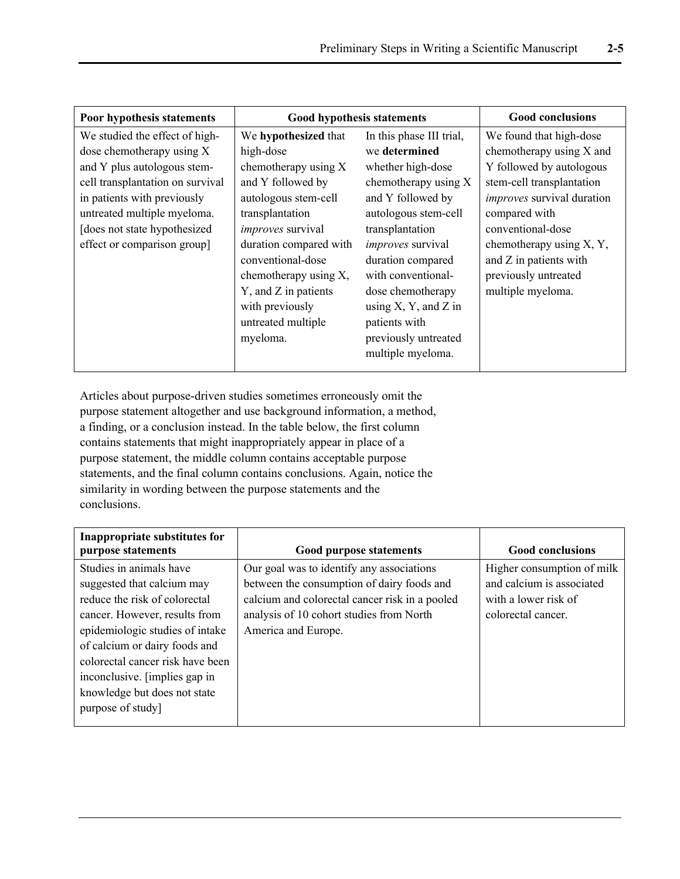| Poor hypothesis statements       | <b>Good hypothesis statements</b> | <b>Good conclusions</b>      |                                   |
|----------------------------------|-----------------------------------|------------------------------|-----------------------------------|
| We studied the effect of high-   | We hypothesized that              | In this phase III trial,     | We found that high-dose           |
| dose chemotherapy using X        | high-dose                         | we determined                | chemotherapy using X and          |
| and Y plus autologous stem-      | chemotherapy using X              | whether high-dose            | Y followed by autologous          |
| cell transplantation on survival | and Y followed by                 | chemotherapy using X         | stem-cell transplantation         |
| in patients with previously      | autologous stem-cell              | and Y followed by            | <i>improves</i> survival duration |
| untreated multiple myeloma.      | transplantation                   | autologous stem-cell         | compared with                     |
| [does not state hypothesized     | <i>improves</i> survival          | transplantation              | conventional-dose                 |
| effect or comparison group]      | duration compared with            | <i>improves</i> survival     | chemotherapy using X, Y,          |
|                                  | conventional-dose                 | duration compared            | and Z in patients with            |
|                                  | chemotherapy using X,             | with conventional-           | previously untreated              |
|                                  | Y, and Z in patients              | dose chemotherapy            | multiple myeloma.                 |
|                                  | with previously                   | using $X$ , $Y$ , and $Z$ in |                                   |
|                                  | untreated multiple                | patients with                |                                   |
|                                  | myeloma.                          | previously untreated         |                                   |
|                                  |                                   | multiple myeloma.            |                                   |
|                                  |                                   |                              |                                   |

Articles about purpose-driven studies sometimes erroneously omit the purpose statement altogether and use background information, a method, a finding, or a conclusion instead. In the table below, the first column contains statements that might inappropriately appear in place of a purpose statement, the middle column contains acceptable purpose statements, and the final column contains conclusions. Again, notice the similarity in wording between the purpose statements and the conclusions.

| Inappropriate substitutes for<br>purpose statements | <b>Good purpose statements</b>                 | <b>Good conclusions</b>    |
|-----------------------------------------------------|------------------------------------------------|----------------------------|
| Studies in animals have                             | Our goal was to identify any associations      | Higher consumption of milk |
| suggested that calcium may                          | between the consumption of dairy foods and     | and calcium is associated  |
| reduce the risk of colorectal                       | calcium and colorectal cancer risk in a pooled | with a lower risk of       |
| cancer. However, results from                       | analysis of 10 cohort studies from North       | colorectal cancer.         |
| epidemiologic studies of intake                     | America and Europe.                            |                            |
| of calcium or dairy foods and                       |                                                |                            |
| colorectal cancer risk have been                    |                                                |                            |
| inconclusive. [implies gap in]                      |                                                |                            |
| knowledge but does not state                        |                                                |                            |
| purpose of study]                                   |                                                |                            |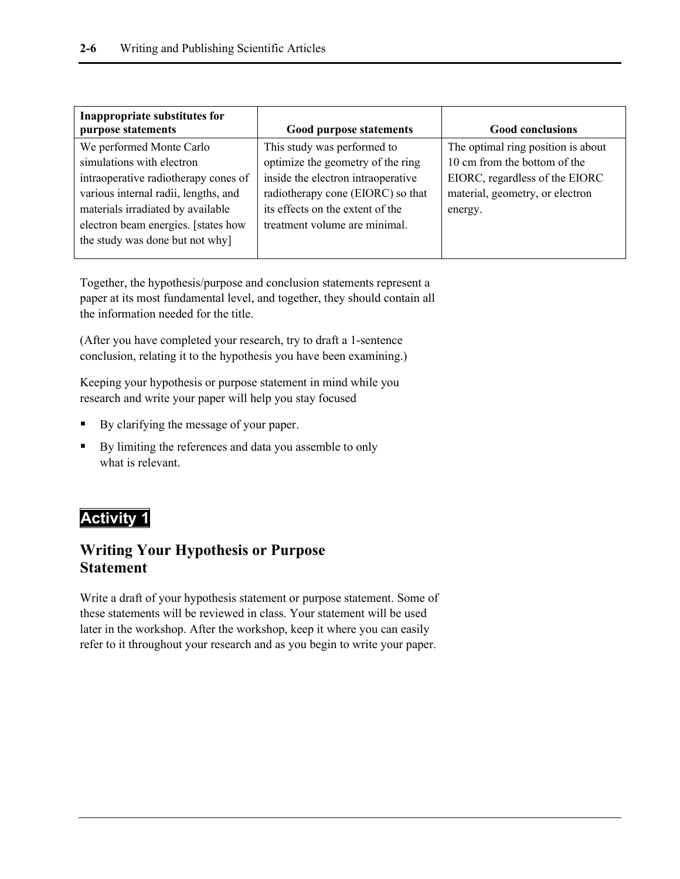| Inappropriate substitutes for        |                                    |                                    |
|--------------------------------------|------------------------------------|------------------------------------|
| purpose statements                   | <b>Good purpose statements</b>     | <b>Good conclusions</b>            |
| We performed Monte Carlo             | This study was performed to        | The optimal ring position is about |
| simulations with electron            | optimize the geometry of the ring  | 10 cm from the bottom of the       |
| intraoperative radiotherapy cones of | inside the electron intraoperative | EIORC, regardless of the EIORC     |
| various internal radii, lengths, and | radiotherapy cone (EIORC) so that  | material, geometry, or electron    |
| materials irradiated by available    | its effects on the extent of the   | energy.                            |
| electron beam energies. [states how  | treatment volume are minimal.      |                                    |
| the study was done but not why]      |                                    |                                    |
|                                      |                                    |                                    |

Together, the hypothesis/purpose and conclusion statements represent a paper at its most fundamental level, and together, they should contain all the information needed for the title.

(After you have completed your research, try to draft a 1-sentence conclusion, relating it to the hypothesis you have been examining.)

Keeping your hypothesis or purpose statement in mind while you research and write your paper will help you stay focused

- By clarifying the message of your paper.
- By limiting the references and data you assemble to only what is relevant.

### **Activity 1**

### **Writing Your Hypothesis or Purpose Statement**

Write a draft of your hypothesis statement or purpose statement. Some of these statements will be reviewed in class. Your statement will be used later in the workshop. After the workshop, keep it where you can easily refer to it throughout your research and as you begin to write your paper.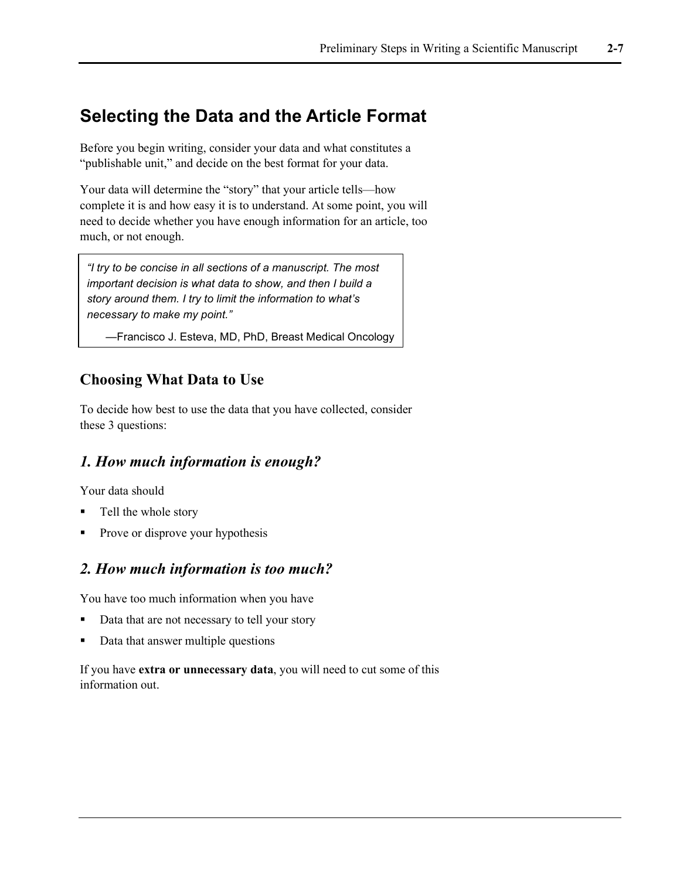## **Selecting the Data and the Article Format**

Before you begin writing, consider your data and what constitutes a "publishable unit," and decide on the best format for your data.

Your data will determine the "story" that your article tells—how complete it is and how easy it is to understand. At some point, you will need to decide whether you have enough information for an article, too much, or not enough.

*"I try to be concise in all sections of a manuscript. The most important decision is what data to show, and then I build a story around them. I try to limit the information to what's necessary to make my point."*

—Francisco J. Esteva, MD, PhD, Breast Medical Oncology

### **Choosing What Data to Use**

To decide how best to use the data that you have collected, consider these 3 questions:

#### *1. How much information is enough?*

Your data should

- Tell the whole story
- Prove or disprove your hypothesis

#### *2. How much information is too much?*

You have too much information when you have

- Data that are not necessary to tell your story
- Data that answer multiple questions

If you have **extra or unnecessary data**, you will need to cut some of this information out.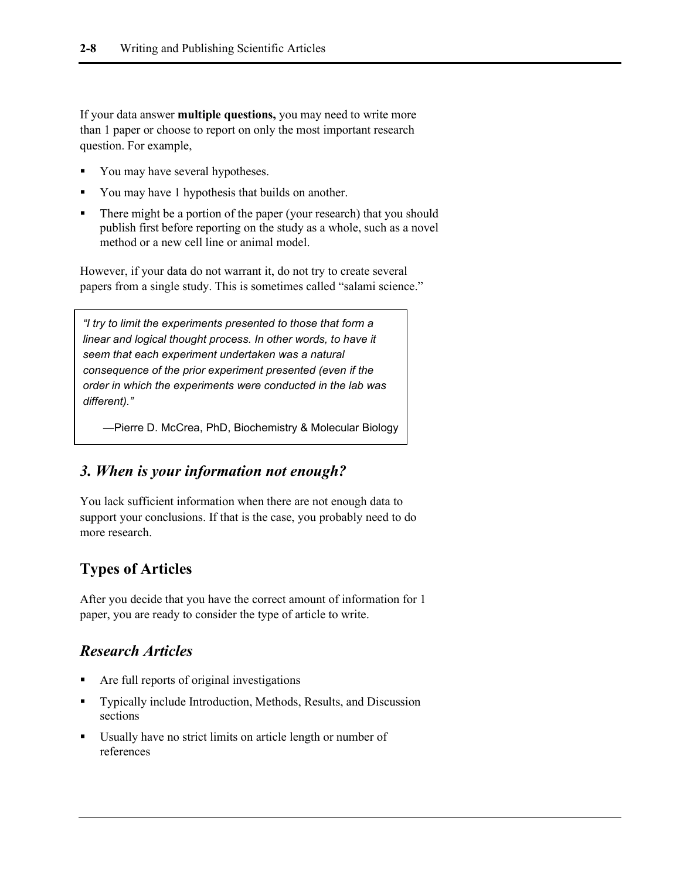If your data answer **multiple questions,** you may need to write more than 1 paper or choose to report on only the most important research question. For example,

- You may have several hypotheses.
- You may have 1 hypothesis that builds on another.
- There might be a portion of the paper (your research) that you should publish first before reporting on the study as a whole, such as a novel method or a new cell line or animal model.

However, if your data do not warrant it, do not try to create several papers from a single study. This is sometimes called "salami science."

*"I try to limit the experiments presented to those that form a linear and logical thought process. In other words, to have it seem that each experiment undertaken was a natural consequence of the prior experiment presented (even if the order in which the experiments were conducted in the lab was different)."*

—Pierre D. McCrea, PhD, Biochemistry & Molecular Biology

#### *3. When is your information not enough?*

You lack sufficient information when there are not enough data to support your conclusions. If that is the case, you probably need to do more research.

#### **Types of Articles**

After you decide that you have the correct amount of information for 1 paper, you are ready to consider the type of article to write.

#### *Research Articles*

- Are full reports of original investigations
- Typically include Introduction, Methods, Results, and Discussion sections
- Usually have no strict limits on article length or number of references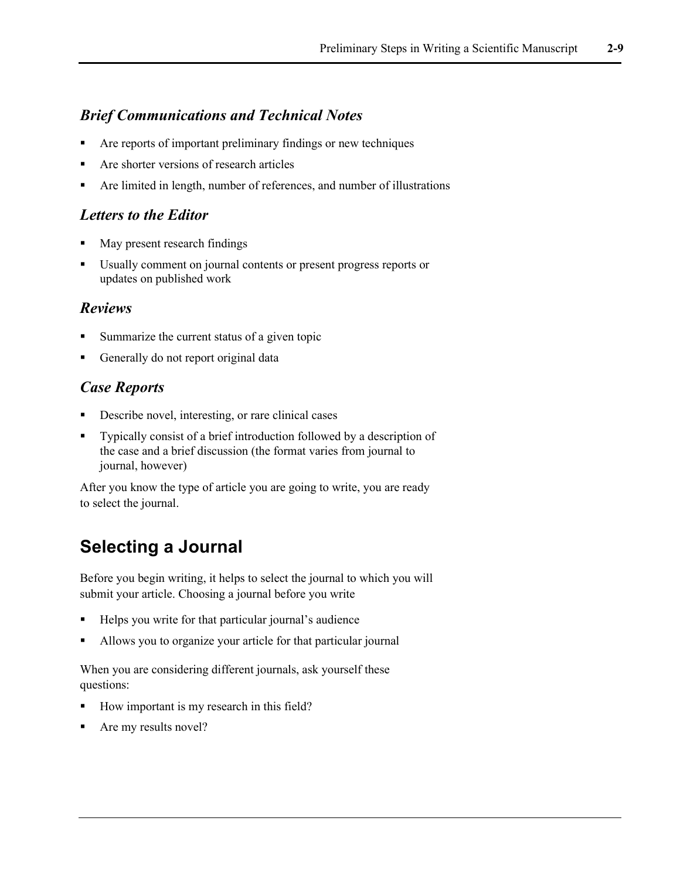### *Brief Communications and Technical Notes*

- Are reports of important preliminary findings or new techniques
- Are shorter versions of research articles
- Are limited in length, number of references, and number of illustrations

#### *Letters to the Editor*

- May present research findings
- Usually comment on journal contents or present progress reports or updates on published work

#### *Reviews*

- Summarize the current status of a given topic
- Generally do not report original data

### *Case Reports*

- Describe novel, interesting, or rare clinical cases
- Typically consist of a brief introduction followed by a description of the case and a brief discussion (the format varies from journal to journal, however)

After you know the type of article you are going to write, you are ready to select the journal.

## **Selecting a Journal**

Before you begin writing, it helps to select the journal to which you will submit your article. Choosing a journal before you write

- Helps you write for that particular journal's audience
- Allows you to organize your article for that particular journal

When you are considering different journals, ask yourself these questions:

- How important is my research in this field?
- Are my results novel?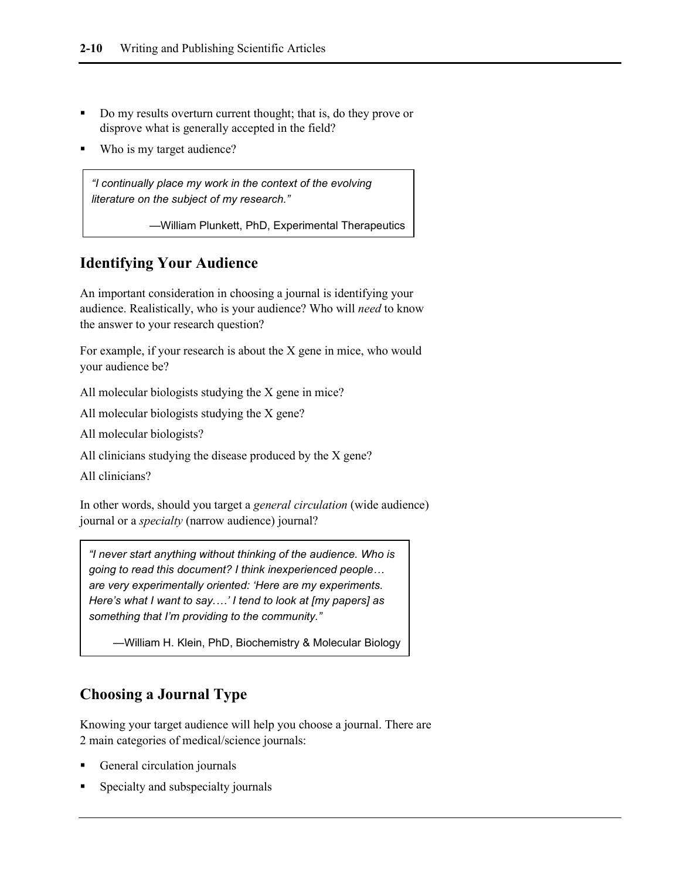- Do my results overturn current thought; that is, do they prove or disprove what is generally accepted in the field?
- Who is my target audience?

*"I continually place my work in the context of the evolving literature on the subject of my research."*

—William Plunkett, PhD, Experimental Therapeutics

### **Identifying Your Audience**

An important consideration in choosing a journal is identifying your audience. Realistically, who is your audience? Who will *need* to know the answer to your research question?

For example, if your research is about the X gene in mice, who would your audience be?

All molecular biologists studying the X gene in mice?

All molecular biologists studying the X gene?

All molecular biologists?

All clinicians studying the disease produced by the X gene?

All clinicians?

In other words, should you target a *general circulation* (wide audience) journal or a *specialty* (narrow audience) journal?

*"I never start anything without thinking of the audience. Who is going to read this document? I think inexperienced people… are very experimentally oriented: 'Here are my experiments. Here's what I want to say.…' I tend to look at [my papers] as something that I'm providing to the community."* 

—William H. Klein, PhD, Biochemistry & Molecular Biology

### **Choosing a Journal Type**

Knowing your target audience will help you choose a journal. There are 2 main categories of medical/science journals:

- General circulation journals
- Specialty and subspecialty journals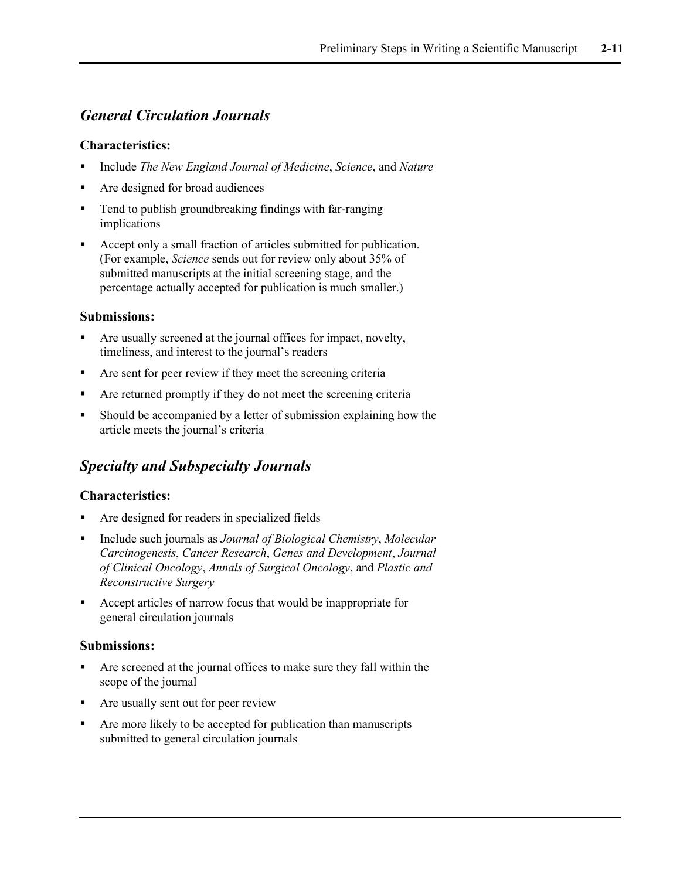### *General Circulation Journals*

#### **Characteristics:**

- Include *The New England Journal of Medicine*, *Science*, and *Nature*
- Are designed for broad audiences
- Tend to publish groundbreaking findings with far-ranging implications
- Accept only a small fraction of articles submitted for publication. (For example, *Science* sends out for review only about 35% of submitted manuscripts at the initial screening stage, and the percentage actually accepted for publication is much smaller.)

#### **Submissions:**

- Are usually screened at the journal offices for impact, novelty, timeliness, and interest to the journal's readers
- Are sent for peer review if they meet the screening criteria
- Are returned promptly if they do not meet the screening criteria
- Should be accompanied by a letter of submission explaining how the article meets the journal's criteria

#### *Specialty and Subspecialty Journals*

#### **Characteristics:**

- Are designed for readers in specialized fields
- Include such journals as *Journal of Biological Chemistry*, *Molecular Carcinogenesis*, *Cancer Research*, *Genes and Development*, *Journal of Clinical Oncology*, *Annals of Surgical Oncology*, and *Plastic and Reconstructive Surgery*
- Accept articles of narrow focus that would be inappropriate for general circulation journals

#### **Submissions:**

- Are screened at the journal offices to make sure they fall within the scope of the journal
- Are usually sent out for peer review
- Are more likely to be accepted for publication than manuscripts submitted to general circulation journals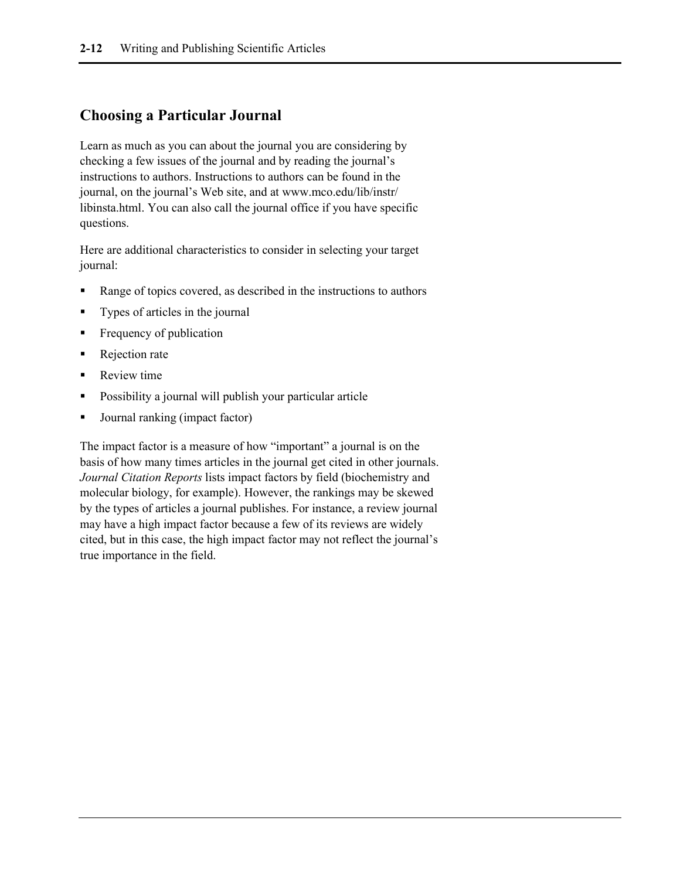### **Choosing a Particular Journal**

Learn as much as you can about the journal you are considering by checking a few issues of the journal and by reading the journal's instructions to authors. Instructions to authors can be found in the journal, on the journal's Web site, and at www.mco.edu/lib/instr/ libinsta.html. You can also call the journal office if you have specific questions.

Here are additional characteristics to consider in selecting your target journal:

- Range of topics covered, as described in the instructions to authors
- Types of articles in the journal
- Frequency of publication
- Rejection rate
- Review time
- Possibility a journal will publish your particular article
- Journal ranking (impact factor)

The impact factor is a measure of how "important" a journal is on the basis of how many times articles in the journal get cited in other journals. *Journal Citation Reports* lists impact factors by field (biochemistry and molecular biology, for example). However, the rankings may be skewed by the types of articles a journal publishes. For instance, a review journal may have a high impact factor because a few of its reviews are widely cited, but in this case, the high impact factor may not reflect the journal's true importance in the field.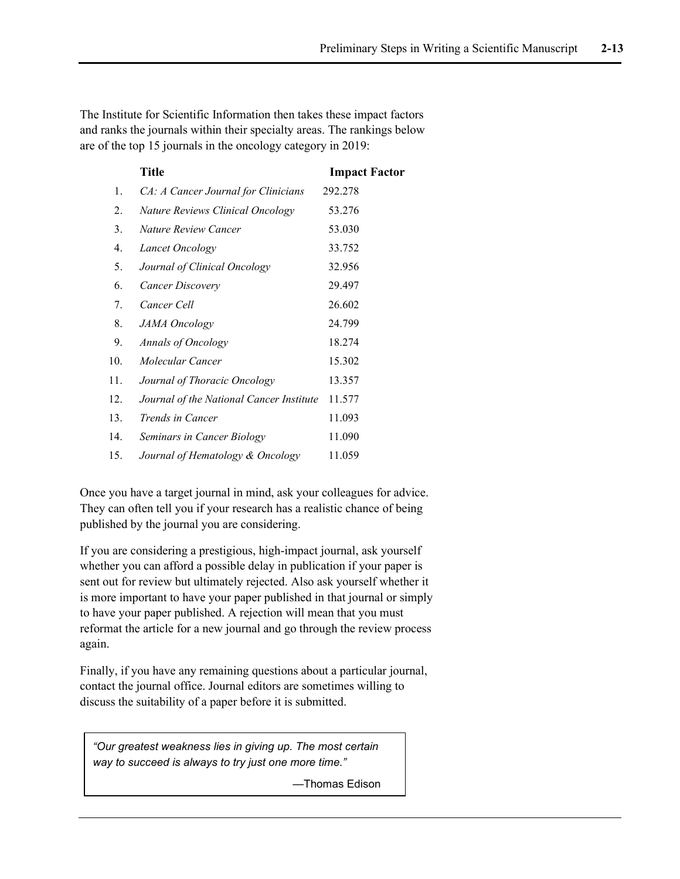The Institute for Scientific Information then takes these impact factors and ranks the journals within their specialty areas. The rankings below are of the top 15 journals in the oncology category in 2019:

|     | <b>Title</b>                             | <b>Impact Factor</b> |
|-----|------------------------------------------|----------------------|
| 1.  | CA: A Cancer Journal for Clinicians      | 292.278              |
| 2.  | Nature Reviews Clinical Oncology         | 53.276               |
| 3.  | Nature Review Cancer                     | 53.030               |
| 4.  | Lancet Oncology                          | 33.752               |
| 5.  | Journal of Clinical Oncology             | 32.956               |
| 6.  | <b>Cancer Discovery</b>                  | 29.497               |
| 7.  | Cancer Cell                              | 26.602               |
| 8.  | <b>JAMA</b> Oncology                     | 24.799               |
| 9.  | <b>Annals of Oncology</b>                | 18.274               |
| 10. | Molecular Cancer                         | 15.302               |
| 11. | Journal of Thoracic Oncology             | 13.357               |
| 12. | Journal of the National Cancer Institute | 11.577               |
| 13. | <i>Trends in Cancer</i>                  | 11.093               |
| 14. | Seminars in Cancer Biology               | 11.090               |
| 15. | Journal of Hematology & Oncology         | 11.059               |

Once you have a target journal in mind, ask your colleagues for advice. They can often tell you if your research has a realistic chance of being published by the journal you are considering.

If you are considering a prestigious, high-impact journal, ask yourself whether you can afford a possible delay in publication if your paper is sent out for review but ultimately rejected. Also ask yourself whether it is more important to have your paper published in that journal or simply to have your paper published. A rejection will mean that you must reformat the article for a new journal and go through the review process again.

Finally, if you have any remaining questions about a particular journal, contact the journal office. Journal editors are sometimes willing to discuss the suitability of a paper before it is submitted.

*"Our greatest weakness lies in giving up. The most certain way to succeed is always to try just one more time."* 

—Thomas Edison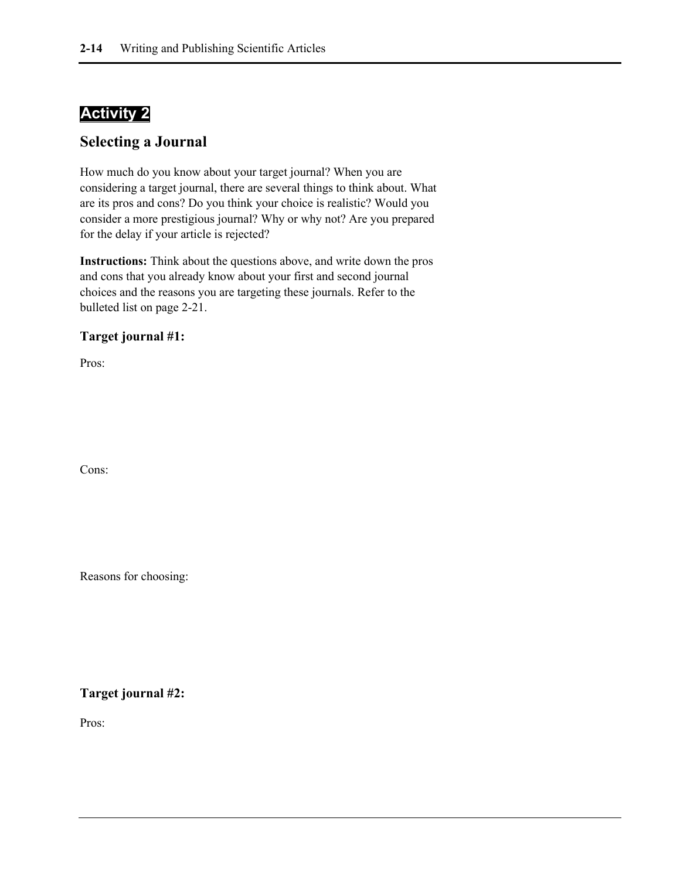### **Activity 2**

#### **Selecting a Journal**

How much do you know about your target journal? When you are considering a target journal, there are several things to think about. What are its pros and cons? Do you think your choice is realistic? Would you consider a more prestigious journal? Why or why not? Are you prepared for the delay if your article is rejected?

**Instructions:** Think about the questions above, and write down the pros and cons that you already know about your first and second journal choices and the reasons you are targeting these journals. Refer to the bulleted list on page 2-21.

#### **Target journal #1:**

Pros:

Cons:

Reasons for choosing:

#### **Target journal #2:**

Pros: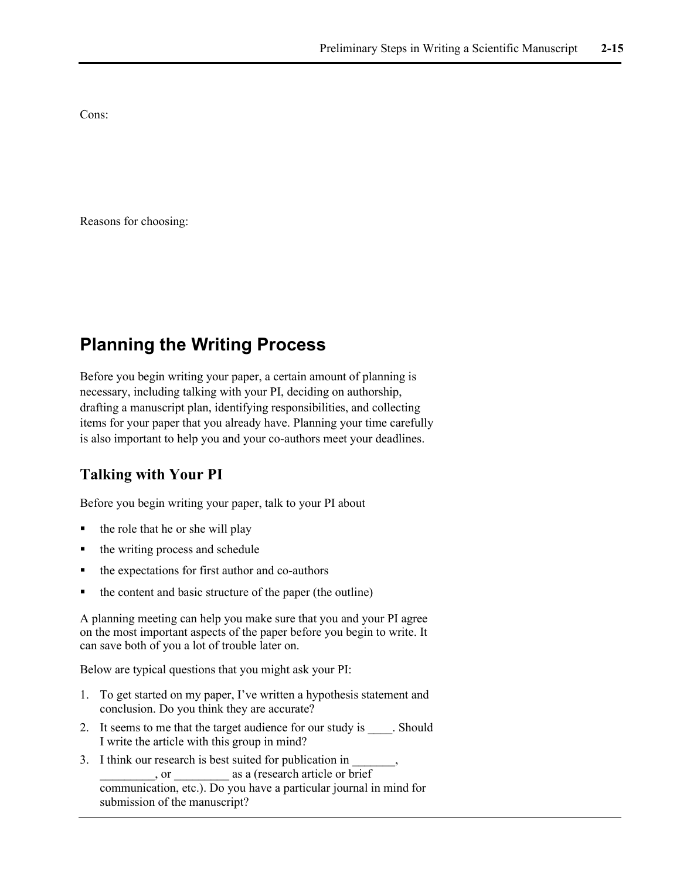Cons:

Reasons for choosing:

## **Planning the Writing Process**

Before you begin writing your paper, a certain amount of planning is necessary, including talking with your PI, deciding on authorship, drafting a manuscript plan, identifying responsibilities, and collecting items for your paper that you already have. Planning your time carefully is also important to help you and your co-authors meet your deadlines.

### **Talking with Your PI**

Before you begin writing your paper, talk to your PI about

- $\blacksquare$  the role that he or she will play
- the writing process and schedule
- the expectations for first author and co-authors
- the content and basic structure of the paper (the outline)

A planning meeting can help you make sure that you and your PI agree on the most important aspects of the paper before you begin to write. It can save both of you a lot of trouble later on.

Below are typical questions that you might ask your PI:

- 1. To get started on my paper, I've written a hypothesis statement and conclusion. Do you think they are accurate?
- 2. It seems to me that the target audience for our study is . Should I write the article with this group in mind?
- 3. I think our research is best suited for publication in , or  $\qquad \qquad$  as a (research article or brief communication, etc.). Do you have a particular journal in mind for submission of the manuscript?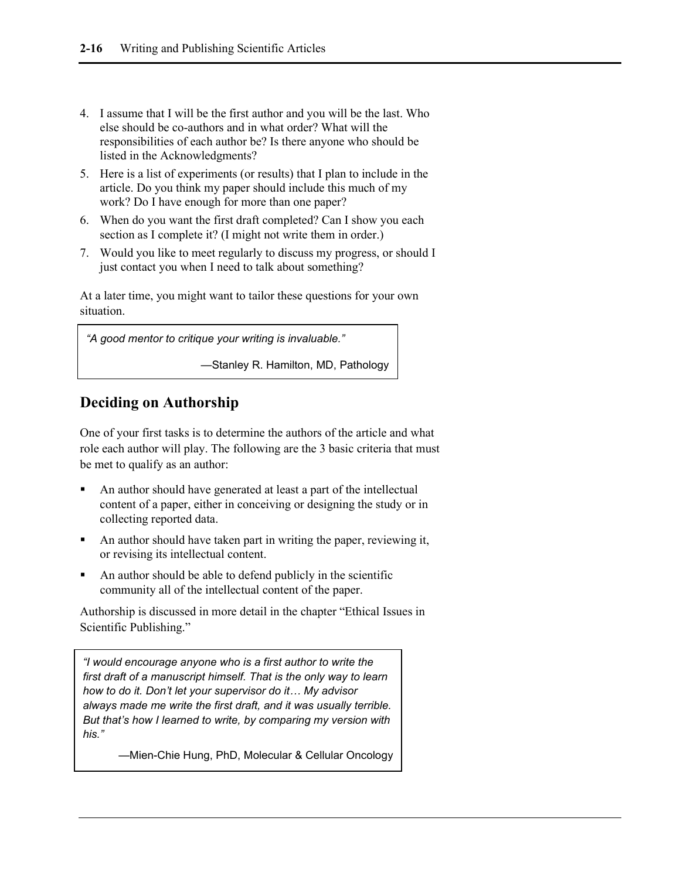- 4. I assume that I will be the first author and you will be the last. Who else should be co-authors and in what order? What will the responsibilities of each author be? Is there anyone who should be listed in the Acknowledgments?
- 5. Here is a list of experiments (or results) that I plan to include in the article. Do you think my paper should include this much of my work? Do I have enough for more than one paper?
- 6. When do you want the first draft completed? Can I show you each section as I complete it? (I might not write them in order.)
- 7. Would you like to meet regularly to discuss my progress, or should I just contact you when I need to talk about something?

At a later time, you might want to tailor these questions for your own situation.

*"A good mentor to critique your writing is invaluable."*

—Stanley R. Hamilton, MD, Pathology

### **Deciding on Authorship**

One of your first tasks is to determine the authors of the article and what role each author will play. The following are the 3 basic criteria that must be met to qualify as an author:

- An author should have generated at least a part of the intellectual content of a paper, either in conceiving or designing the study or in collecting reported data.
- An author should have taken part in writing the paper, reviewing it, or revising its intellectual content.
- An author should be able to defend publicly in the scientific community all of the intellectual content of the paper.

Authorship is discussed in more detail in the chapter "Ethical Issues in Scientific Publishing."

*"I would encourage anyone who is a first author to write the first draft of a manuscript himself. That is the only way to learn how to do it. Don't let your supervisor do it… My advisor always made me write the first draft, and it was usually terrible. But that's how I learned to write, by comparing my version with his."* 

—Mien-Chie Hung, PhD, Molecular & Cellular Oncology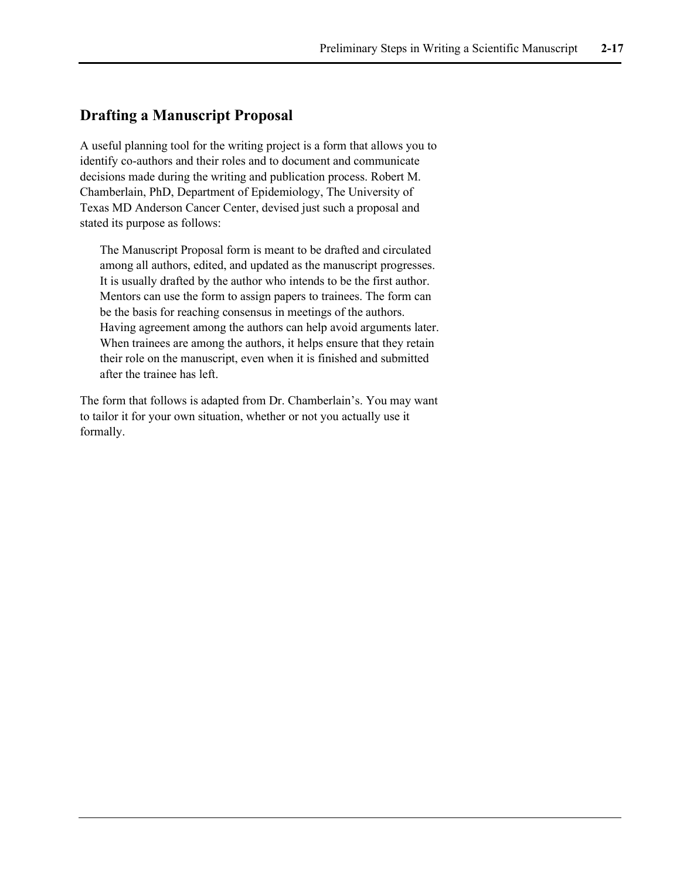#### **Drafting a Manuscript Proposal**

A useful planning tool for the writing project is a form that allows you to identify co-authors and their roles and to document and communicate decisions made during the writing and publication process. Robert M. Chamberlain, PhD, Department of Epidemiology, The University of Texas MD Anderson Cancer Center, devised just such a proposal and stated its purpose as follows:

The Manuscript Proposal form is meant to be drafted and circulated among all authors, edited, and updated as the manuscript progresses. It is usually drafted by the author who intends to be the first author. Mentors can use the form to assign papers to trainees. The form can be the basis for reaching consensus in meetings of the authors. Having agreement among the authors can help avoid arguments later. When trainees are among the authors, it helps ensure that they retain their role on the manuscript, even when it is finished and submitted after the trainee has left.

The form that follows is adapted from Dr. Chamberlain's. You may want to tailor it for your own situation, whether or not you actually use it formally.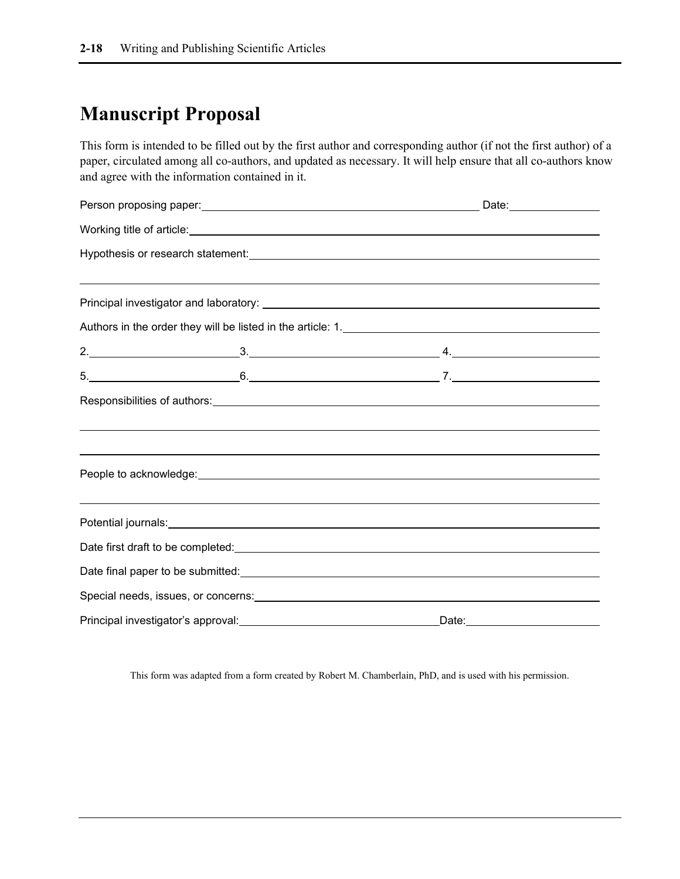## **Manuscript Proposal**

This form is intended to be filled out by the first author and corresponding author (if not the first author) of a paper, circulated among all co-authors, and updated as necessary. It will help ensure that all co-authors know and agree with the information contained in it.

|  |                                                                                                                                                                                                                                      | Date: ________________                                                                                                                                                                                                         |  |  |  |
|--|--------------------------------------------------------------------------------------------------------------------------------------------------------------------------------------------------------------------------------------|--------------------------------------------------------------------------------------------------------------------------------------------------------------------------------------------------------------------------------|--|--|--|
|  |                                                                                                                                                                                                                                      |                                                                                                                                                                                                                                |  |  |  |
|  |                                                                                                                                                                                                                                      |                                                                                                                                                                                                                                |  |  |  |
|  |                                                                                                                                                                                                                                      |                                                                                                                                                                                                                                |  |  |  |
|  |                                                                                                                                                                                                                                      |                                                                                                                                                                                                                                |  |  |  |
|  |                                                                                                                                                                                                                                      |                                                                                                                                                                                                                                |  |  |  |
|  |                                                                                                                                                                                                                                      |                                                                                                                                                                                                                                |  |  |  |
|  |                                                                                                                                                                                                                                      | $5.$ $6.$                                                                                                                                                                                                                      |  |  |  |
|  |                                                                                                                                                                                                                                      |                                                                                                                                                                                                                                |  |  |  |
|  |                                                                                                                                                                                                                                      | ,我们也不会有什么?""我们的人,我们也不会有什么?""我们的人,我们也不会有什么?""我们的人,我们也不会有什么?""我们的人,我们也不会有什么?""我们的人                                                                                                                                               |  |  |  |
|  |                                                                                                                                                                                                                                      |                                                                                                                                                                                                                                |  |  |  |
|  |                                                                                                                                                                                                                                      |                                                                                                                                                                                                                                |  |  |  |
|  |                                                                                                                                                                                                                                      |                                                                                                                                                                                                                                |  |  |  |
|  | Potential journals: <u>contract and a set of the set of the set of the set of the set of the set of the set of the set of the set of the set of the set of the set of the set of the set of the set of the set of the set of the</u> |                                                                                                                                                                                                                                |  |  |  |
|  |                                                                                                                                                                                                                                      |                                                                                                                                                                                                                                |  |  |  |
|  |                                                                                                                                                                                                                                      | Date final paper to be submitted: example and a series of the series of the series of the series of the series of the series of the series of the series of the series of the series of the series of the series of the series |  |  |  |
|  |                                                                                                                                                                                                                                      |                                                                                                                                                                                                                                |  |  |  |
|  |                                                                                                                                                                                                                                      |                                                                                                                                                                                                                                |  |  |  |

This form was adapted from a form created by Robert M. Chamberlain, PhD, and is used with his permission.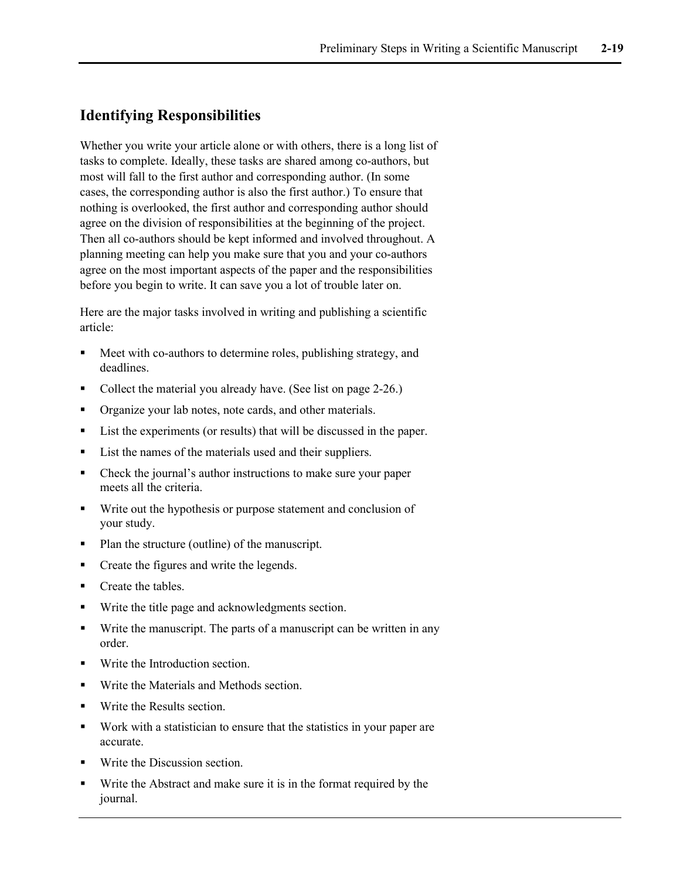### **Identifying Responsibilities**

Whether you write your article alone or with others, there is a long list of tasks to complete. Ideally, these tasks are shared among co-authors, but most will fall to the first author and corresponding author. (In some cases, the corresponding author is also the first author.) To ensure that nothing is overlooked, the first author and corresponding author should agree on the division of responsibilities at the beginning of the project. Then all co-authors should be kept informed and involved throughout. A planning meeting can help you make sure that you and your co-authors agree on the most important aspects of the paper and the responsibilities before you begin to write. It can save you a lot of trouble later on.

Here are the major tasks involved in writing and publishing a scientific article:

- Meet with co-authors to determine roles, publishing strategy, and deadlines.
- Collect the material you already have. (See list on page 2-26.)
- Organize your lab notes, note cards, and other materials.
- List the experiments (or results) that will be discussed in the paper.
- List the names of the materials used and their suppliers.
- Check the journal's author instructions to make sure your paper meets all the criteria.
- Write out the hypothesis or purpose statement and conclusion of your study.
- Plan the structure (outline) of the manuscript.
- Create the figures and write the legends.
- Create the tables.
- Write the title page and acknowledgments section.
- Write the manuscript. The parts of a manuscript can be written in any order.
- **Write the Introduction section.**
- **Write the Materials and Methods section.**
- Write the Results section.
- Work with a statistician to ensure that the statistics in your paper are accurate.
- Write the Discussion section.
- Write the Abstract and make sure it is in the format required by the journal.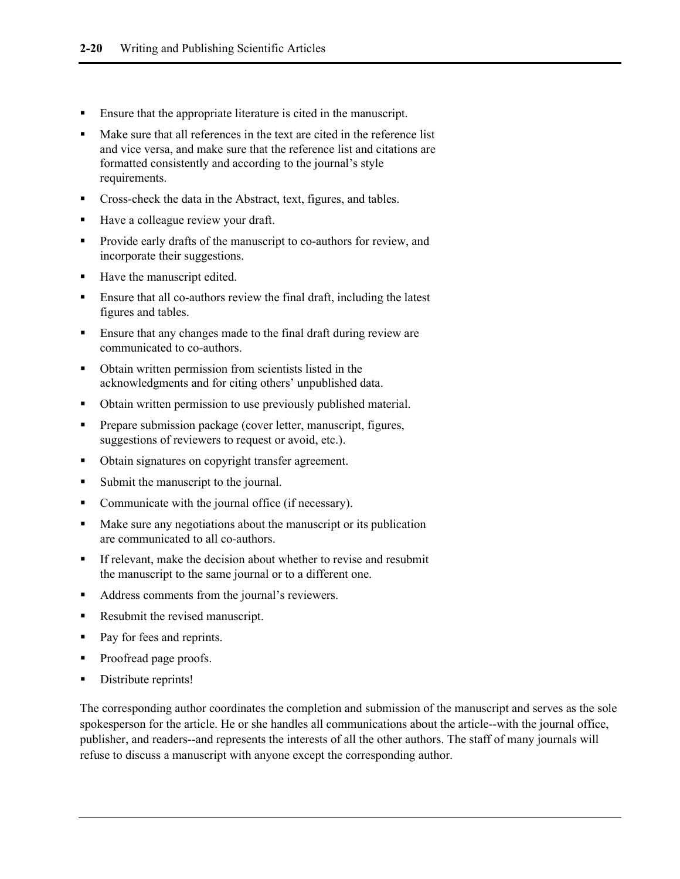- Ensure that the appropriate literature is cited in the manuscript.
- Make sure that all references in the text are cited in the reference list and vice versa, and make sure that the reference list and citations are formatted consistently and according to the journal's style requirements.
- **Cross-check the data in the Abstract, text, figures, and tables.**
- Have a colleague review your draft.
- Provide early drafts of the manuscript to co-authors for review, and incorporate their suggestions.
- Have the manuscript edited.
- Ensure that all co-authors review the final draft, including the latest figures and tables.
- Ensure that any changes made to the final draft during review are communicated to co-authors.
- Obtain written permission from scientists listed in the acknowledgments and for citing others' unpublished data.
- Obtain written permission to use previously published material.
- Prepare submission package (cover letter, manuscript, figures, suggestions of reviewers to request or avoid, etc.).
- Obtain signatures on copyright transfer agreement.
- Submit the manuscript to the journal.
- Communicate with the journal office (if necessary).
- Make sure any negotiations about the manuscript or its publication are communicated to all co-authors.
- If relevant, make the decision about whether to revise and resubmit the manuscript to the same journal or to a different one.
- Address comments from the journal's reviewers.
- Resubmit the revised manuscript.
- Pay for fees and reprints.
- Proofread page proofs.
- Distribute reprints!

The corresponding author coordinates the completion and submission of the manuscript and serves as the sole spokesperson for the article. He or she handles all communications about the article--with the journal office, publisher, and readers--and represents the interests of all the other authors. The staff of many journals will refuse to discuss a manuscript with anyone except the corresponding author.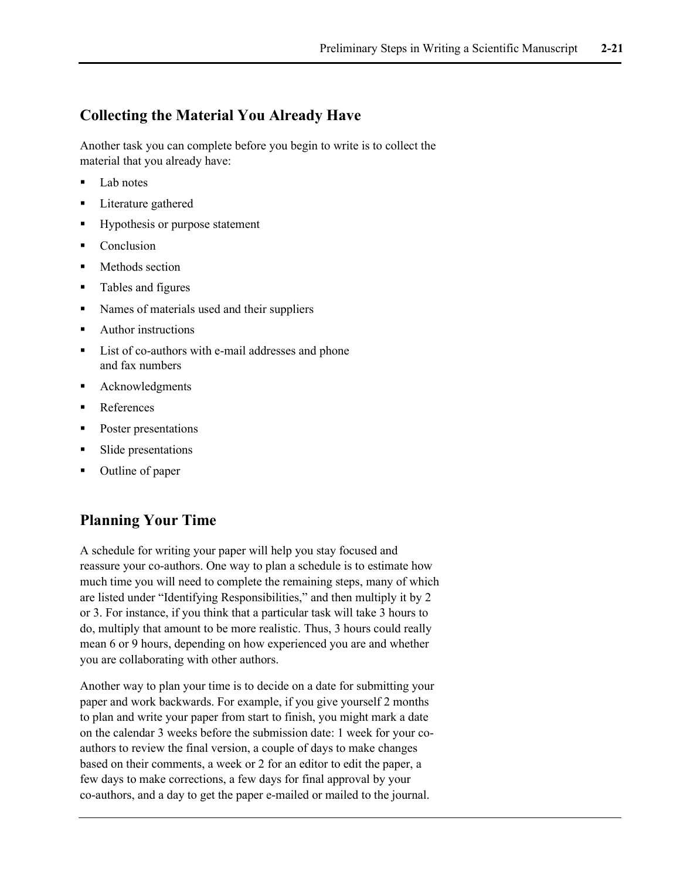### **Collecting the Material You Already Have**

Another task you can complete before you begin to write is to collect the material that you already have:

- Lab notes
- Literature gathered
- **Hypothesis or purpose statement**
- Conclusion
- **Nethods section**
- Tables and figures
- Names of materials used and their suppliers
- Author instructions
- List of co-authors with e-mail addresses and phone and fax numbers
- **•** Acknowledgments
- References
- Poster presentations
- Slide presentations
- Outline of paper

#### **Planning Your Time**

A schedule for writing your paper will help you stay focused and reassure your co-authors. One way to plan a schedule is to estimate how much time you will need to complete the remaining steps, many of which are listed under "Identifying Responsibilities," and then multiply it by 2 or 3. For instance, if you think that a particular task will take 3 hours to do, multiply that amount to be more realistic. Thus, 3 hours could really mean 6 or 9 hours, depending on how experienced you are and whether you are collaborating with other authors.

Another way to plan your time is to decide on a date for submitting your paper and work backwards. For example, if you give yourself 2 months to plan and write your paper from start to finish, you might mark a date on the calendar 3 weeks before the submission date: 1 week for your coauthors to review the final version, a couple of days to make changes based on their comments, a week or 2 for an editor to edit the paper, a few days to make corrections, a few days for final approval by your co-authors, and a day to get the paper e-mailed or mailed to the journal.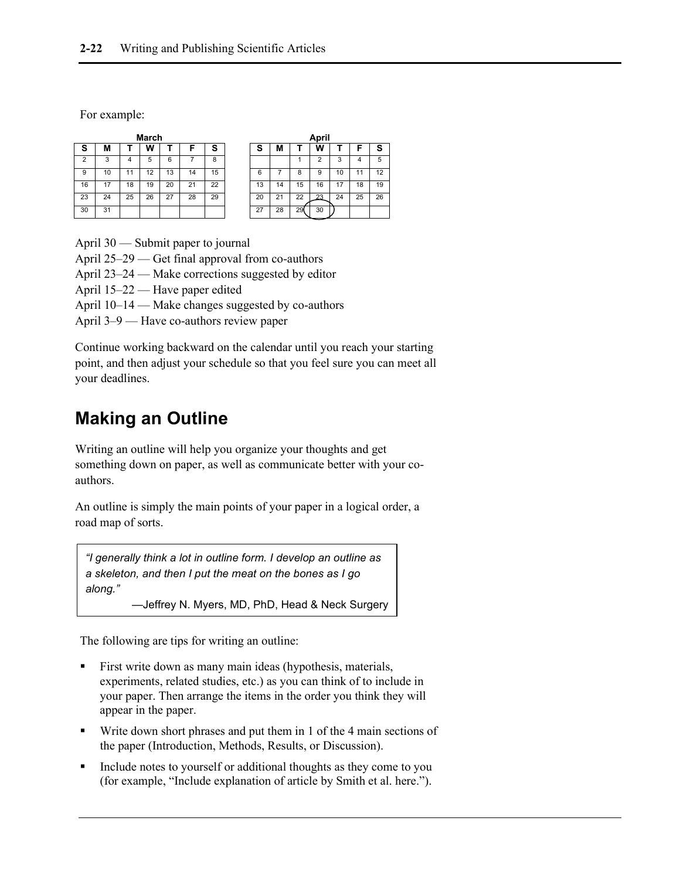For example:

| March          |    |    |    |    | April |    |    |    |    |    |    |    |    |
|----------------|----|----|----|----|-------|----|----|----|----|----|----|----|----|
| s              | М  |    | w  |    |       | S  | S  | М  |    | w  |    |    | s  |
| $\overline{2}$ | 3  | 4  | 5  | 6  |       | 8  |    |    |    | ◠  | 3  | 4  | 5  |
| 9              | 10 | и  | 12 | 13 | 14    | 15 | 6  |    | 8  | 9  | 10 | и  | 12 |
| 16             | 17 | 18 | 19 | 20 | 21    | 22 | 13 | 14 | 15 | 16 | 17 | 18 | 19 |
| 23             | 24 | 25 | 26 | 27 | 28    | 29 | 20 | 21 | 22 | 23 | 24 | 25 | 26 |
| 30             | 31 |    |    |    |       |    | 27 | 28 | 29 | 30 |    |    |    |

April 30 — Submit paper to journal

April 25–29 — Get final approval from co-authors

April 23–24 — Make corrections suggested by editor

April 15–22 — Have paper edited

April 10–14 — Make changes suggested by co-authors

April 3–9 — Have co-authors review paper

Continue working backward on the calendar until you reach your starting point, and then adjust your schedule so that you feel sure you can meet all your deadlines.

## **Making an Outline**

Writing an outline will help you organize your thoughts and get something down on paper, as well as communicate better with your coauthors.

An outline is simply the main points of your paper in a logical order, a road map of sorts.

*"I generally think a lot in outline form. I develop an outline as a skeleton, and then I put the meat on the bones as I go along."*

—Jeffrey N. Myers, MD, PhD, Head & Neck Surgery

The following are tips for writing an outline:

- First write down as many main ideas (hypothesis, materials, experiments, related studies, etc.) as you can think of to include in your paper. Then arrange the items in the order you think they will appear in the paper.
- Write down short phrases and put them in 1 of the 4 main sections of the paper (Introduction, Methods, Results, or Discussion).
- Include notes to yourself or additional thoughts as they come to you (for example, "Include explanation of article by Smith et al. here.").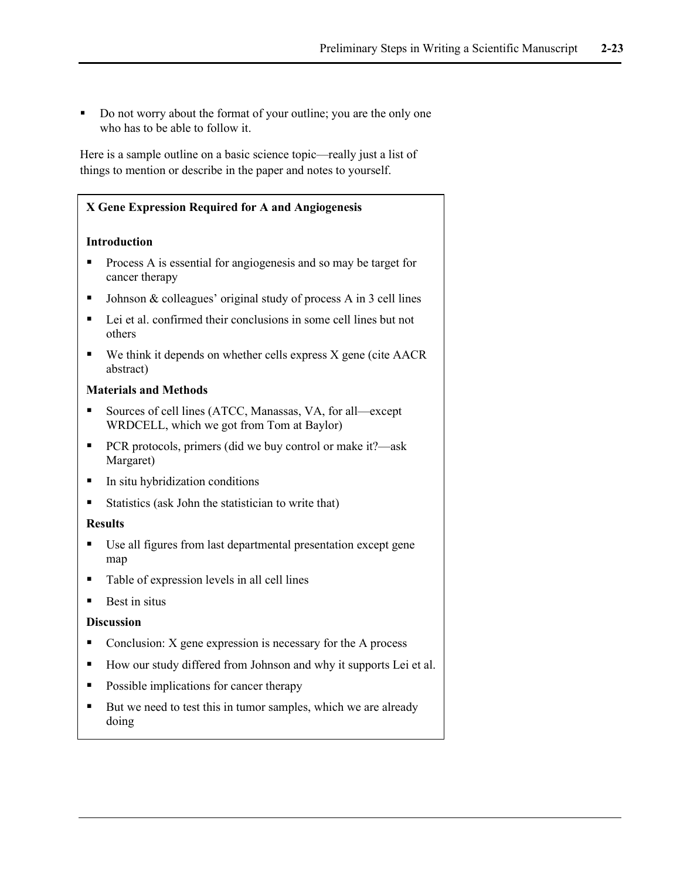Do not worry about the format of your outline; you are the only one who has to be able to follow it.

Here is a sample outline on a basic science topic—really just a list of things to mention or describe in the paper and notes to yourself.

| X Gene Expression Required for A and Angiogenesis                                                      |
|--------------------------------------------------------------------------------------------------------|
| <b>Introduction</b>                                                                                    |
| Process A is essential for angiogenesis and so may be target for<br>cancer therapy                     |
| Johnson & colleagues' original study of process A in 3 cell lines                                      |
| Lei et al. confirmed their conclusions in some cell lines but not<br>others                            |
| We think it depends on whether cells express X gene (cite AACR<br>abstract)                            |
| <b>Materials and Methods</b>                                                                           |
| Sources of cell lines (ATCC, Manassas, VA, for all-except<br>WRDCELL, which we got from Tom at Baylor) |
| PCR protocols, primers (did we buy control or make it?—ask<br>п<br>Margaret)                           |
| In situ hybridization conditions<br>п                                                                  |
| Statistics (ask John the statistician to write that)                                                   |
| <b>Results</b>                                                                                         |
| Use all figures from last departmental presentation except gene<br>map                                 |
| Table of expression levels in all cell lines                                                           |
| Best in situs                                                                                          |
| <b>Discussion</b>                                                                                      |
| Conclusion: X gene expression is necessary for the A process<br>■                                      |
| How our study differed from Johnson and why it supports Lei et al.                                     |
| Possible implications for cancer therapy                                                               |
| But we need to test this in tumor samples, which we are already<br>doing                               |
|                                                                                                        |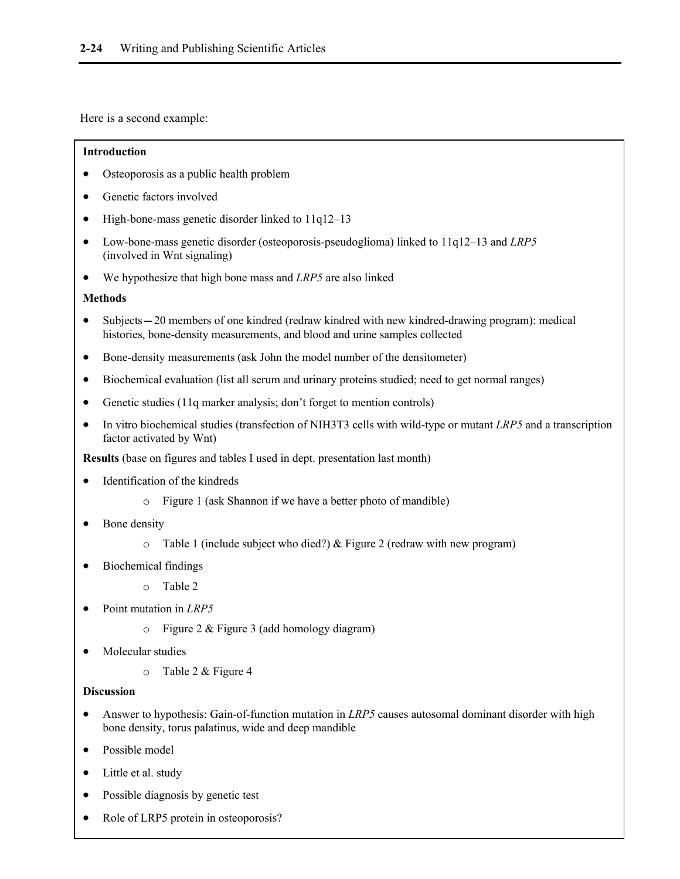Here is a second example:

#### **Introduction**

- Osteoporosis as a public health problem
- Genetic factors involved
- High-bone-mass genetic disorder linked to 11q12–13
- Low-bone-mass genetic disorder (osteoporosis-pseudoglioma) linked to 11q12–13 and *LRP5* (involved in Wnt signaling)
- We hypothesize that high bone mass and *LRP5* are also linked

#### **Methods**

- Subjects—20 members of one kindred (redraw kindred with new kindred-drawing program): medical histories, bone-density measurements, and blood and urine samples collected
- Bone-density measurements (ask John the model number of the densitometer)
- Biochemical evaluation (list all serum and urinary proteins studied; need to get normal ranges)
- Genetic studies (11q marker analysis; don't forget to mention controls)
- In vitro biochemical studies (transfection of NIH3T3 cells with wild-type or mutant *LRP5* and a transcription factor activated by Wnt)

**Results** (base on figures and tables I used in dept. presentation last month)

- Identification of the kindreds
	- o Figure 1 (ask Shannon if we have a better photo of mandible)
- Bone density
	- o Table 1 (include subject who died?) & Figure 2 (redraw with new program)
- Biochemical findings
	- o Table 2
- Point mutation in *LRP5*
	- o Figure 2 & Figure 3 (add homology diagram)
- Molecular studies
	- o Table 2 & Figure 4

#### **Discussion**

- Answer to hypothesis: Gain-of-function mutation in *LRP5* causes autosomal dominant disorder with high bone density, torus palatinus, wide and deep mandible
- Possible model
- Little et al. study
- Possible diagnosis by genetic test
- Role of LRP5 protein in osteoporosis?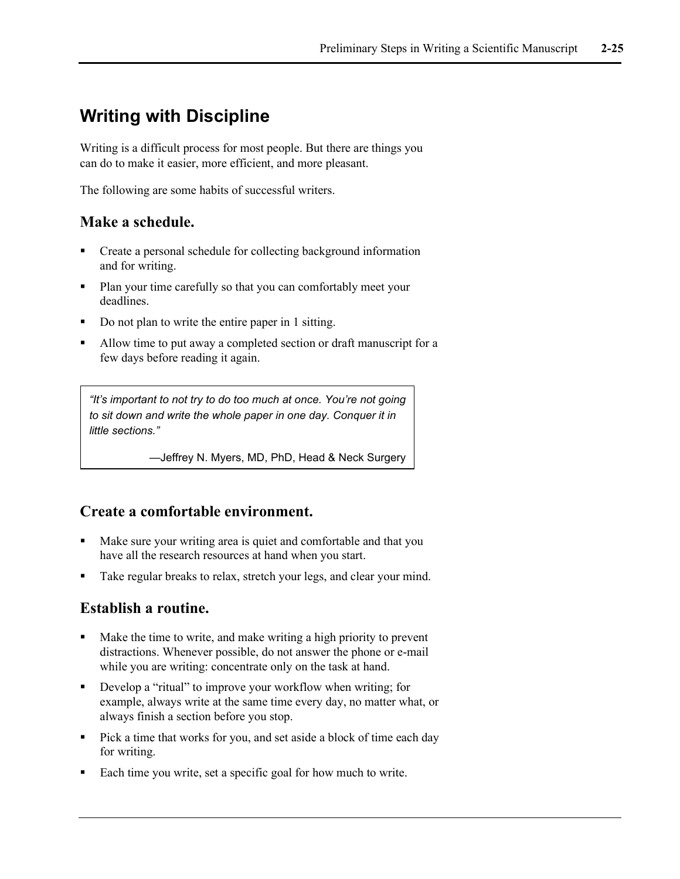## **Writing with Discipline**

Writing is a difficult process for most people. But there are things you can do to make it easier, more efficient, and more pleasant.

The following are some habits of successful writers.

### **Make a schedule.**

- Create a personal schedule for collecting background information and for writing.
- Plan your time carefully so that you can comfortably meet your deadlines.
- Do not plan to write the entire paper in 1 sitting.
- Allow time to put away a completed section or draft manuscript for a few days before reading it again.

*"It's important to not try to do too much at once. You're not going to sit down and write the whole paper in one day. Conquer it in little sections."*

—Jeffrey N. Myers, MD, PhD, Head & Neck Surgery

### **Create a comfortable environment.**

- Make sure your writing area is quiet and comfortable and that you have all the research resources at hand when you start.
- Take regular breaks to relax, stretch your legs, and clear your mind.

#### **Establish a routine.**

- Make the time to write, and make writing a high priority to prevent distractions. Whenever possible, do not answer the phone or e-mail while you are writing: concentrate only on the task at hand.
- Develop a "ritual" to improve your workflow when writing; for example, always write at the same time every day, no matter what, or always finish a section before you stop.
- Pick a time that works for you, and set aside a block of time each day for writing.
- Each time you write, set a specific goal for how much to write.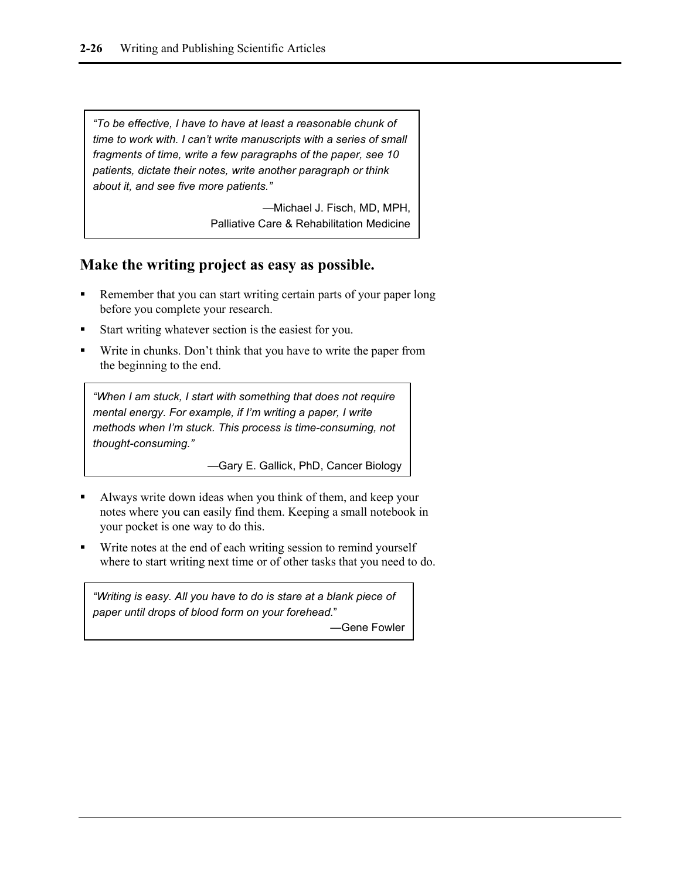*"To be effective, I have to have at least a reasonable chunk of time to work with. I can't write manuscripts with a series of small fragments of time, write a few paragraphs of the paper, see 10 patients, dictate their notes, write another paragraph or think about it, and see five more patients."*

> —Michael J. Fisch, MD, MPH, Palliative Care & Rehabilitation Medicine

#### **Make the writing project as easy as possible.**

- Remember that you can start writing certain parts of your paper long before you complete your research.
- Start writing whatever section is the easiest for you.
- Write in chunks. Don't think that you have to write the paper from the beginning to the end.

*"When I am stuck, I start with something that does not require mental energy. For example, if I'm writing a paper, I write methods when I'm stuck. This process is time-consuming, not thought-consuming."* 

—Gary E. Gallick, PhD, Cancer Biology

- Always write down ideas when you think of them, and keep your notes where you can easily find them. Keeping a small notebook in your pocket is one way to do this.
- Write notes at the end of each writing session to remind yourself where to start writing next time or of other tasks that you need to do.

*"Writing is easy. All you have to do is stare at a blank piece of paper until drops of blood form on your forehead.*"

—Gene Fowler